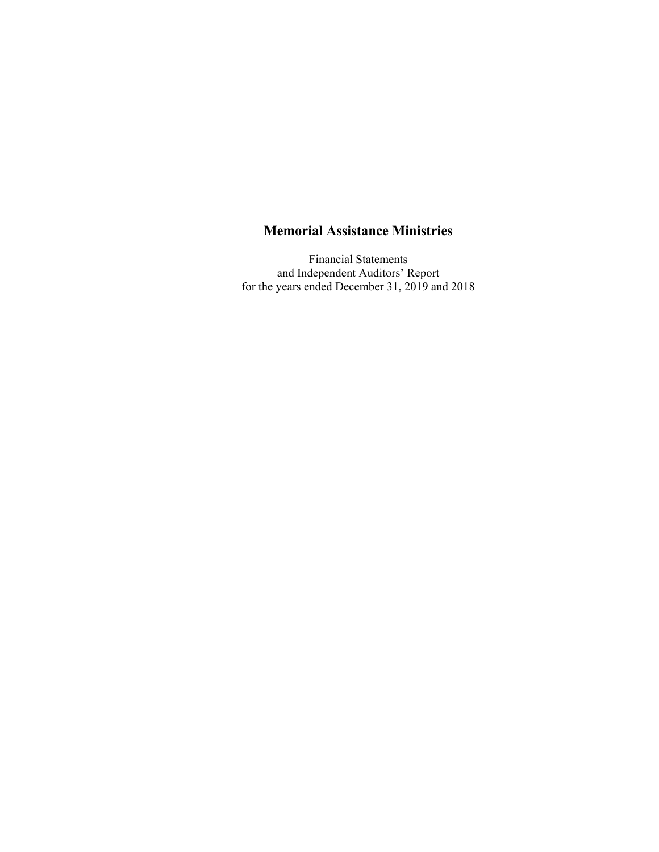Financial Statements and Independent Auditors' Report for the years ended December 31, 2019 and 2018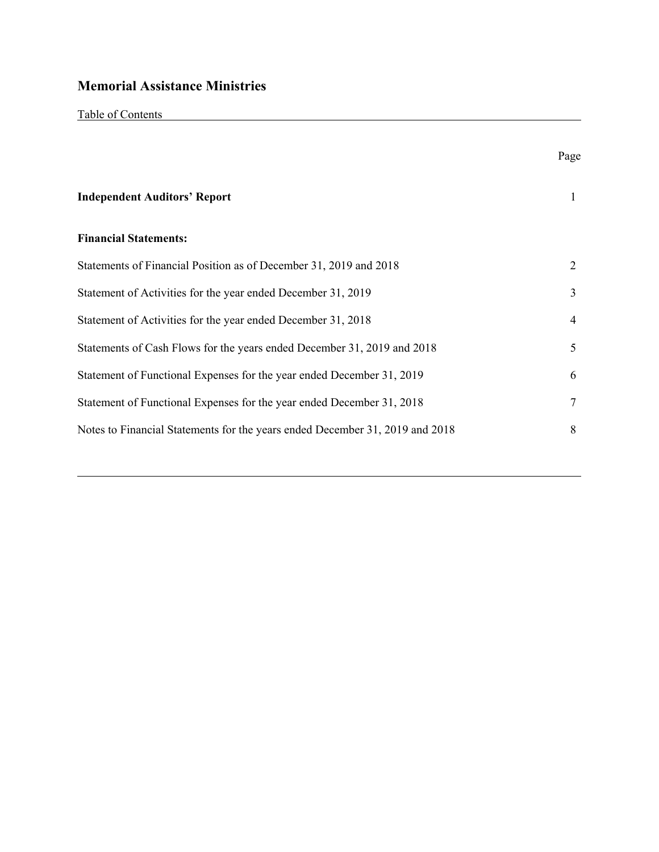|--|

|                                                                              | Page |
|------------------------------------------------------------------------------|------|
| <b>Independent Auditors' Report</b>                                          | 1    |
| <b>Financial Statements:</b>                                                 |      |
| Statements of Financial Position as of December 31, 2019 and 2018            | 2    |
| Statement of Activities for the year ended December 31, 2019                 | 3    |
| Statement of Activities for the year ended December 31, 2018                 | 4    |
| Statements of Cash Flows for the years ended December 31, 2019 and 2018      | 5    |
| Statement of Functional Expenses for the year ended December 31, 2019        | 6    |
| Statement of Functional Expenses for the year ended December 31, 2018        | 7    |
| Notes to Financial Statements for the years ended December 31, 2019 and 2018 | 8    |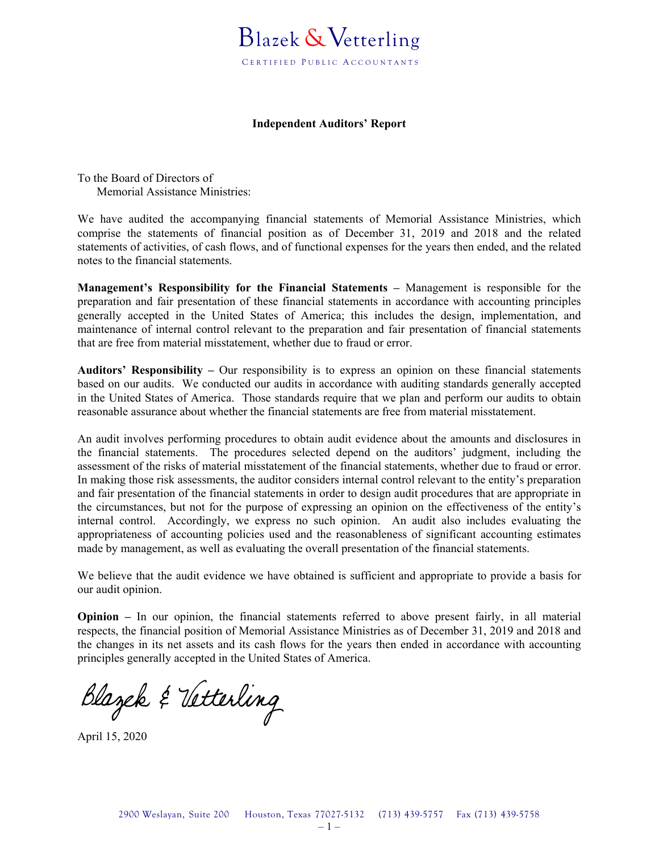#### **Independent Auditors' Report**

To the Board of Directors of Memorial Assistance Ministries:

We have audited the accompanying financial statements of Memorial Assistance Ministries, which comprise the statements of financial position as of December 31, 2019 and 2018 and the related statements of activities, of cash flows, and of functional expenses for the years then ended, and the related notes to the financial statements.

**Management's Responsibility for the Financial Statements –** Management is responsible for the preparation and fair presentation of these financial statements in accordance with accounting principles generally accepted in the United States of America; this includes the design, implementation, and maintenance of internal control relevant to the preparation and fair presentation of financial statements that are free from material misstatement, whether due to fraud or error.

**Auditors' Responsibility –** Our responsibility is to express an opinion on these financial statements based on our audits. We conducted our audits in accordance with auditing standards generally accepted in the United States of America. Those standards require that we plan and perform our audits to obtain reasonable assurance about whether the financial statements are free from material misstatement.

An audit involves performing procedures to obtain audit evidence about the amounts and disclosures in the financial statements. The procedures selected depend on the auditors' judgment, including the assessment of the risks of material misstatement of the financial statements, whether due to fraud or error. In making those risk assessments, the auditor considers internal control relevant to the entity's preparation and fair presentation of the financial statements in order to design audit procedures that are appropriate in the circumstances, but not for the purpose of expressing an opinion on the effectiveness of the entity's internal control. Accordingly, we express no such opinion. An audit also includes evaluating the appropriateness of accounting policies used and the reasonableness of significant accounting estimates made by management, as well as evaluating the overall presentation of the financial statements.

We believe that the audit evidence we have obtained is sufficient and appropriate to provide a basis for our audit opinion.

**Opinion –** In our opinion, the financial statements referred to above present fairly, in all material respects, the financial position of Memorial Assistance Ministries as of December 31, 2019 and 2018 and the changes in its net assets and its cash flows for the years then ended in accordance with accounting principles generally accepted in the United States of America.

Blazek & Vetterling

April 15, 2020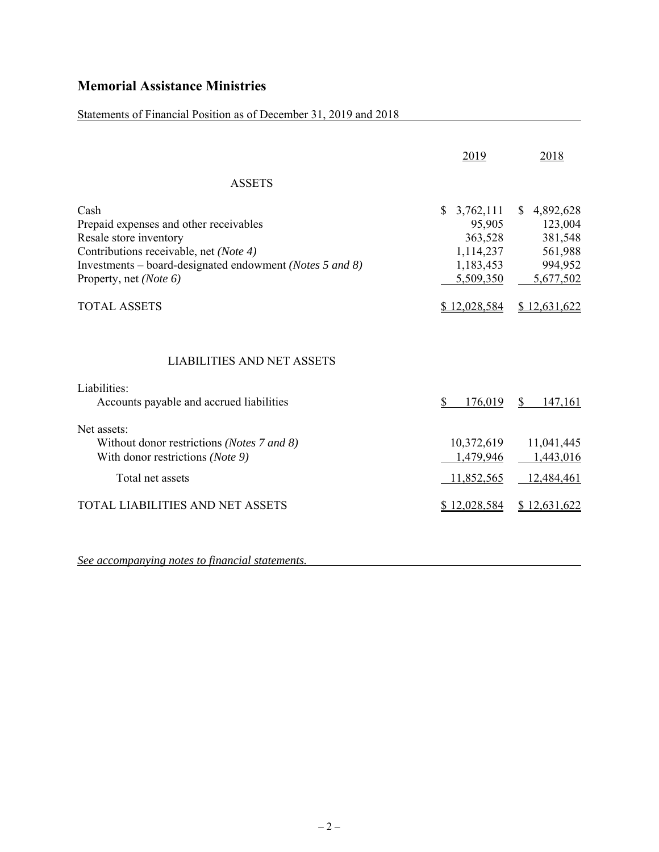### Statements of Financial Position as of December 31, 2019 and 2018

|                                                                                                                                                                                                          | 2019                                                                                  | 2018                                                                     |
|----------------------------------------------------------------------------------------------------------------------------------------------------------------------------------------------------------|---------------------------------------------------------------------------------------|--------------------------------------------------------------------------|
| <b>ASSETS</b>                                                                                                                                                                                            |                                                                                       |                                                                          |
| Cash<br>Prepaid expenses and other receivables<br>Resale store inventory<br>Contributions receivable, net (Note 4)<br>Investments – board-designated endowment (Notes 5 and 8)<br>Property, net (Note 6) | $\mathbb{S}$<br>3,762,111<br>95,905<br>363,528<br>1,114,237<br>1,183,453<br>5,509,350 | 4,892,628<br>S.<br>123,004<br>381,548<br>561,988<br>994,952<br>5,677,502 |
| <b>TOTAL ASSETS</b>                                                                                                                                                                                      | \$12,028,584                                                                          | \$12,631,622                                                             |
| <b>LIABILITIES AND NET ASSETS</b><br>Liabilities:<br>Accounts payable and accrued liabilities                                                                                                            | \$<br>176,019                                                                         | $\mathbb{S}$<br>147,161                                                  |
| Net assets:<br>Without donor restrictions (Notes 7 and 8)<br>With donor restrictions (Note 9)<br>Total net assets                                                                                        | 10,372,619<br>1,479,946<br>11,852,565                                                 | 11,041,445<br>1,443,016<br>12,484,461                                    |
| <b>TOTAL LIABILITIES AND NET ASSETS</b>                                                                                                                                                                  | \$12,028,584                                                                          | \$12,631,622                                                             |
|                                                                                                                                                                                                          |                                                                                       |                                                                          |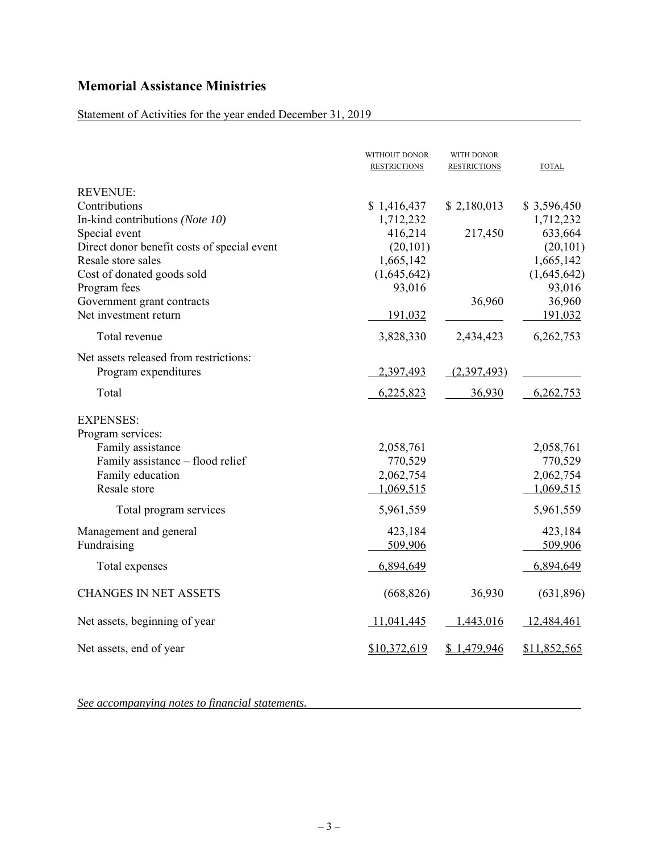### Statement of Activities for the year ended December 31, 2019

|                                             | WITHOUT DONOR<br><b>RESTRICTIONS</b> | WITH DONOR<br><b>RESTRICTIONS</b> | <b>TOTAL</b> |
|---------------------------------------------|--------------------------------------|-----------------------------------|--------------|
| <b>REVENUE:</b>                             |                                      |                                   |              |
| Contributions                               | \$1,416,437                          | \$2,180,013                       | \$3,596,450  |
| In-kind contributions (Note 10)             | 1,712,232                            |                                   | 1,712,232    |
| Special event                               | 416,214                              | 217,450                           | 633,664      |
| Direct donor benefit costs of special event | (20, 101)                            |                                   | (20, 101)    |
| Resale store sales                          | 1,665,142                            |                                   | 1,665,142    |
| Cost of donated goods sold                  | (1,645,642)                          |                                   | (1,645,642)  |
| Program fees                                | 93,016                               |                                   | 93,016       |
| Government grant contracts                  |                                      | 36,960                            | 36,960       |
| Net investment return                       | 191,032                              |                                   | 191,032      |
| Total revenue                               | 3,828,330                            | 2,434,423                         | 6,262,753    |
| Net assets released from restrictions:      |                                      |                                   |              |
| Program expenditures                        | 2,397,493                            | (2,397,493)                       |              |
| Total                                       | 6,225,823                            | 36,930                            | 6,262,753    |
| <b>EXPENSES:</b>                            |                                      |                                   |              |
| Program services:                           |                                      |                                   |              |
| Family assistance                           | 2,058,761                            |                                   | 2,058,761    |
| Family assistance - flood relief            | 770,529                              |                                   | 770,529      |
| Family education                            | 2,062,754                            |                                   | 2,062,754    |
| Resale store                                | 1,069,515                            |                                   | 1,069,515    |
| Total program services                      | 5,961,559                            |                                   | 5,961,559    |
| Management and general                      | 423,184                              |                                   | 423,184      |
| Fundraising                                 | 509,906                              |                                   | 509,906      |
| Total expenses                              | 6,894,649                            |                                   | 6,894,649    |
| <b>CHANGES IN NET ASSETS</b>                | (668, 826)                           | 36,930                            | (631,896)    |
| Net assets, beginning of year               | 11,041,445                           | ,443,016                          | 12,484,461   |
| Net assets, end of year                     | \$10,372,619                         | \$1,479,946                       | \$11,852,565 |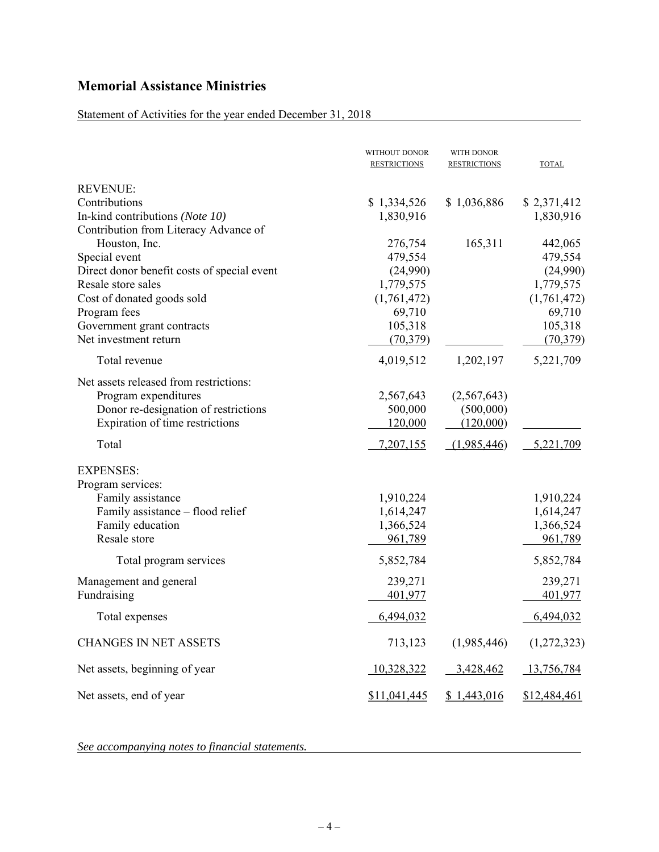### Statement of Activities for the year ended December 31, 2018

|                                             | WITHOUT DONOR<br><b>RESTRICTIONS</b> | WITH DONOR<br><b>RESTRICTIONS</b> | <b>TOTAL</b> |
|---------------------------------------------|--------------------------------------|-----------------------------------|--------------|
| <b>REVENUE:</b>                             |                                      |                                   |              |
| Contributions                               | \$1,334,526                          | \$1,036,886                       | \$2,371,412  |
| In-kind contributions (Note 10)             | 1,830,916                            |                                   | 1,830,916    |
| Contribution from Literacy Advance of       |                                      |                                   |              |
| Houston, Inc.                               | 276,754                              | 165,311                           | 442,065      |
| Special event                               | 479,554                              |                                   | 479,554      |
| Direct donor benefit costs of special event | (24,990)                             |                                   | (24,990)     |
| Resale store sales                          | 1,779,575                            |                                   | 1,779,575    |
| Cost of donated goods sold                  | (1,761,472)                          |                                   | (1,761,472)  |
| Program fees                                | 69,710                               |                                   | 69,710       |
| Government grant contracts                  | 105,318                              |                                   | 105,318      |
| Net investment return                       | (70, 379)                            |                                   | (70, 379)    |
| Total revenue                               | 4,019,512                            | 1,202,197                         | 5,221,709    |
| Net assets released from restrictions:      |                                      |                                   |              |
| Program expenditures                        | 2,567,643                            | (2,567,643)                       |              |
| Donor re-designation of restrictions        | 500,000                              | (500,000)                         |              |
| Expiration of time restrictions             | 120,000                              | (120,000)                         |              |
| Total                                       | 7,207,155                            | (1,985,446)                       | 5,221,709    |
| <b>EXPENSES:</b>                            |                                      |                                   |              |
| Program services:                           |                                      |                                   |              |
| Family assistance                           | 1,910,224                            |                                   | 1,910,224    |
| Family assistance - flood relief            | 1,614,247                            |                                   | 1,614,247    |
| Family education                            | 1,366,524                            |                                   | 1,366,524    |
| Resale store                                | 961,789                              |                                   | 961,789      |
| Total program services                      | 5,852,784                            |                                   | 5,852,784    |
|                                             |                                      |                                   |              |
| Management and general                      | 239,271                              |                                   | 239,271      |
| Fundraising                                 | 401,977                              |                                   | 401,977      |
| Total expenses                              | 6,494,032                            |                                   | 6,494,032    |
| <b>CHANGES IN NET ASSETS</b>                | 713,123                              | (1,985,446)                       | (1,272,323)  |
| Net assets, beginning of year               | 10,328,322                           | 3,428,462                         | 13,756,784   |
| Net assets, end of year                     | \$11,041,445                         | \$1,443,016                       | \$12,484,461 |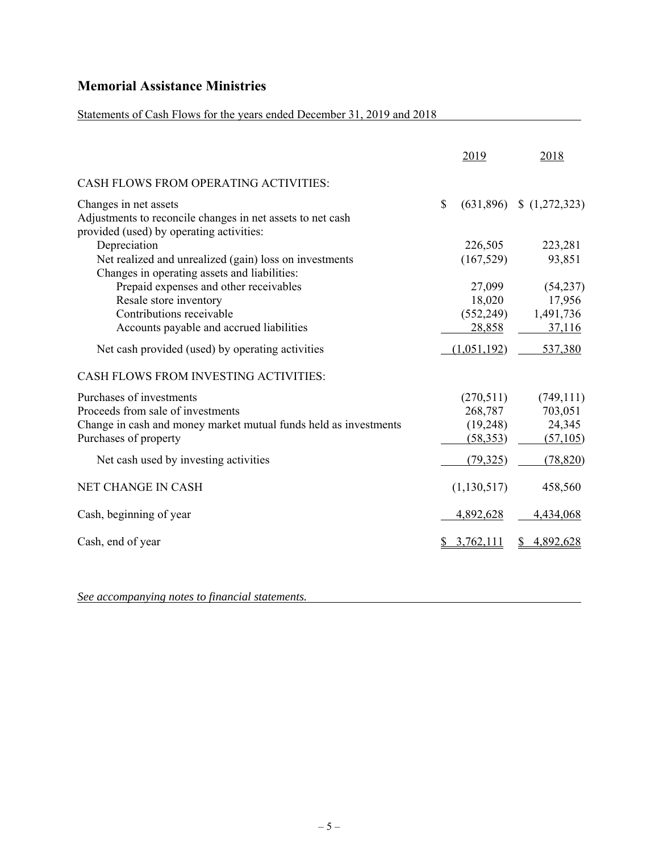### Statements of Cash Flows for the years ended December 31, 2019 and 2018

|                                                                                                                                 |              | 2019        | 2018                         |
|---------------------------------------------------------------------------------------------------------------------------------|--------------|-------------|------------------------------|
| <b>CASH FLOWS FROM OPERATING ACTIVITIES:</b>                                                                                    |              |             |                              |
| Changes in net assets<br>Adjustments to reconcile changes in net assets to net cash<br>provided (used) by operating activities: | $\mathbb{S}$ |             | $(631,896)$ \$ $(1,272,323)$ |
| Depreciation                                                                                                                    |              | 226,505     | 223,281                      |
| Net realized and unrealized (gain) loss on investments<br>Changes in operating assets and liabilities:                          |              | (167, 529)  | 93,851                       |
| Prepaid expenses and other receivables                                                                                          |              | 27,099      | (54,237)                     |
| Resale store inventory                                                                                                          |              | 18,020      | 17,956                       |
| Contributions receivable                                                                                                        |              | (552, 249)  | 1,491,736                    |
| Accounts payable and accrued liabilities                                                                                        |              | 28,858      | 37,116                       |
| Net cash provided (used) by operating activities                                                                                |              | (1,051,192) | 537,380                      |
| CASH FLOWS FROM INVESTING ACTIVITIES:                                                                                           |              |             |                              |
| Purchases of investments                                                                                                        |              | (270,511)   | (749, 111)                   |
| Proceeds from sale of investments                                                                                               |              | 268,787     | 703,051                      |
| Change in cash and money market mutual funds held as investments                                                                |              | (19,248)    | 24,345                       |
| Purchases of property                                                                                                           |              | (58, 353)   | (57, 105)                    |
| Net cash used by investing activities                                                                                           |              | (79, 325)   | (78, 820)                    |
| <b>NET CHANGE IN CASH</b>                                                                                                       |              | (1,130,517) | 458,560                      |
| Cash, beginning of year                                                                                                         |              | 4,892,628   | 4,434,068                    |
| Cash, end of year                                                                                                               |              | 3,762,111   | 4,892,628                    |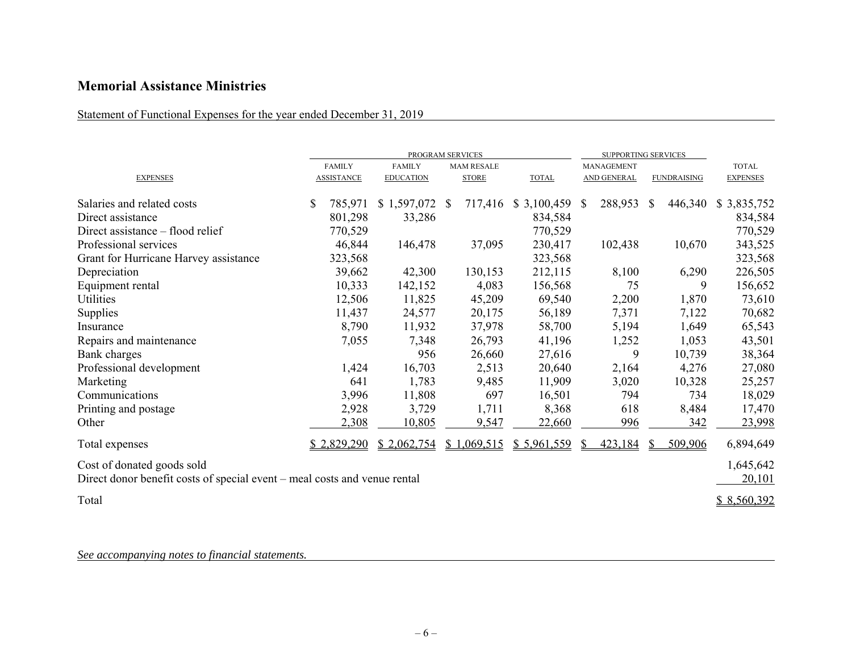Statement of Functional Expenses for the year ended December 31, 2019

|                                                                                                         |     | PROGRAM SERVICES  |                   |  |                   |              | SUPPORTING SERVICES |                    |     |                    |                     |
|---------------------------------------------------------------------------------------------------------|-----|-------------------|-------------------|--|-------------------|--------------|---------------------|--------------------|-----|--------------------|---------------------|
|                                                                                                         |     | <b>FAMILY</b>     | <b>FAMILY</b>     |  | <b>MAM RESALE</b> |              |                     | <b>MANAGEMENT</b>  |     |                    | <b>TOTAL</b>        |
| <b>EXPENSES</b>                                                                                         |     | <b>ASSISTANCE</b> | <b>EDUCATION</b>  |  | <b>STORE</b>      | <b>TOTAL</b> |                     | <b>AND GENERAL</b> |     | <b>FUNDRAISING</b> | <b>EXPENSES</b>     |
| Salaries and related costs                                                                              | \$. | 785,971           | $$1,597,072$ \ \$ |  | 717,416           | \$3,100,459  | <sup>S</sup>        | 288,953            | \$. | 446,340            | \$3,835,752         |
| Direct assistance                                                                                       |     | 801,298           | 33,286            |  |                   | 834,584      |                     |                    |     |                    | 834,584             |
| Direct assistance – flood relief                                                                        |     | 770,529           |                   |  |                   | 770,529      |                     |                    |     |                    | 770,529             |
| Professional services                                                                                   |     | 46,844            | 146,478           |  | 37,095            | 230,417      |                     | 102,438            |     | 10,670             | 343,525             |
| Grant for Hurricane Harvey assistance                                                                   |     | 323,568           |                   |  |                   | 323,568      |                     |                    |     |                    | 323,568             |
| Depreciation                                                                                            |     | 39,662            | 42,300            |  | 130,153           | 212,115      |                     | 8,100              |     | 6,290              | 226,505             |
| Equipment rental                                                                                        |     | 10,333            | 142,152           |  | 4,083             | 156,568      |                     | 75                 |     | 9                  | 156,652             |
| Utilities                                                                                               |     | 12,506            | 11,825            |  | 45,209            | 69,540       |                     | 2,200              |     | 1,870              | 73,610              |
| Supplies                                                                                                |     | 11,437            | 24,577            |  | 20,175            | 56,189       |                     | 7,371              |     | 7,122              | 70,682              |
| Insurance                                                                                               |     | 8,790             | 11,932            |  | 37,978            | 58,700       |                     | 5,194              |     | 1,649              | 65,543              |
| Repairs and maintenance                                                                                 |     | 7,055             | 7,348             |  | 26,793            | 41,196       |                     | 1,252              |     | 1,053              | 43,501              |
| Bank charges                                                                                            |     |                   | 956               |  | 26,660            | 27,616       |                     | 9                  |     | 10,739             | 38,364              |
| Professional development                                                                                |     | 1,424             | 16,703            |  | 2,513             | 20,640       |                     | 2,164              |     | 4,276              | 27,080              |
| Marketing                                                                                               |     | 641               | 1,783             |  | 9,485             | 11,909       |                     | 3,020              |     | 10,328             | 25,257              |
| Communications                                                                                          |     | 3,996             | 11,808            |  | 697               | 16,501       |                     | 794                |     | 734                | 18,029              |
| Printing and postage                                                                                    |     | 2,928             | 3,729             |  | 1,711             | 8,368        |                     | 618                |     | 8,484              | 17,470              |
| Other                                                                                                   |     | 2,308             | 10,805            |  | 9,547             | 22,660       |                     | 996                |     | 342                | 23,998              |
| Total expenses                                                                                          |     | \$2,829,290       | \$2,062,754       |  | \$1,069,515       | \$5,961,559  | S                   | 423,184            |     | 509,906            | 6,894,649           |
| Cost of donated goods sold<br>Direct donor benefit costs of special event – meal costs and venue rental |     |                   |                   |  |                   |              |                     |                    |     |                    | 1,645,642<br>20,101 |
| Total                                                                                                   |     |                   |                   |  |                   |              |                     |                    |     |                    | \$8,560,392         |
|                                                                                                         |     |                   |                   |  |                   |              |                     |                    |     |                    |                     |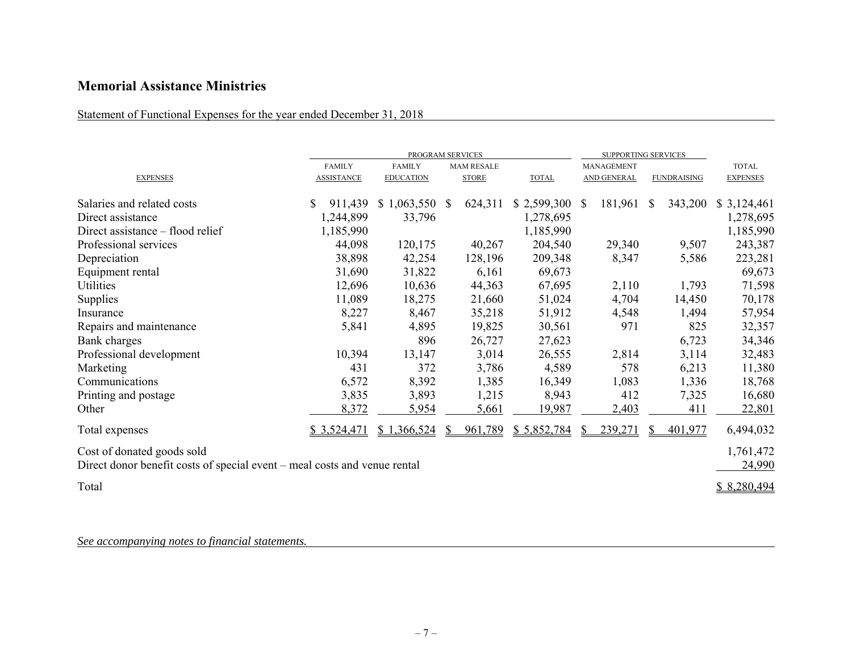Statement of Functional Expenses for the year ended December 31, 2018

|                                                                                                         | PROGRAM SERVICES  |                  |              |                   |              | <b>SUPPORTING SERVICES</b> |                   |              |                    |                     |  |
|---------------------------------------------------------------------------------------------------------|-------------------|------------------|--------------|-------------------|--------------|----------------------------|-------------------|--------------|--------------------|---------------------|--|
|                                                                                                         | <b>FAMILY</b>     | <b>FAMILY</b>    |              | <b>MAM RESALE</b> |              |                            | <b>MANAGEMENT</b> |              |                    | <b>TOTAL</b>        |  |
| <b>EXPENSES</b>                                                                                         | <b>ASSISTANCE</b> | <b>EDUCATION</b> |              | <b>STORE</b>      | <b>TOTAL</b> |                            | AND GENERAL       |              | <b>FUNDRAISING</b> | <b>EXPENSES</b>     |  |
| Salaries and related costs                                                                              | \$<br>911,439     | \$1,063,550      | <sup>S</sup> | 624,311           | \$2,599,300  | S.                         | 181,961           | <sup>S</sup> | 343,200            | \$3,124,461         |  |
| Direct assistance                                                                                       | 1,244,899         | 33,796           |              |                   | 1,278,695    |                            |                   |              |                    | 1,278,695           |  |
| Direct assistance – flood relief                                                                        | 1,185,990         |                  |              |                   | 1,185,990    |                            |                   |              |                    | 1,185,990           |  |
| Professional services                                                                                   | 44,098            | 120,175          |              | 40,267            | 204,540      |                            | 29,340            |              | 9,507              | 243,387             |  |
| Depreciation                                                                                            | 38,898            | 42,254           |              | 128,196           | 209,348      |                            | 8,347             |              | 5,586              | 223,281             |  |
| Equipment rental                                                                                        | 31,690            | 31,822           |              | 6,161             | 69,673       |                            |                   |              |                    | 69,673              |  |
| Utilities                                                                                               | 12,696            | 10,636           |              | 44,363            | 67,695       |                            | 2,110             |              | 1,793              | 71,598              |  |
| Supplies                                                                                                | 11,089            | 18,275           |              | 21,660            | 51,024       |                            | 4,704             |              | 14,450             | 70,178              |  |
| Insurance                                                                                               | 8,227             | 8,467            |              | 35,218            | 51,912       |                            | 4,548             |              | 1,494              | 57,954              |  |
| Repairs and maintenance                                                                                 | 5,841             | 4,895            |              | 19,825            | 30,561       |                            | 971               |              | 825                | 32,357              |  |
| Bank charges                                                                                            |                   | 896              |              | 26,727            | 27,623       |                            |                   |              | 6,723              | 34,346              |  |
| Professional development                                                                                | 10,394            | 13,147           |              | 3,014             | 26,555       |                            | 2,814             |              | 3,114              | 32,483              |  |
| Marketing                                                                                               | 431               | 372              |              | 3,786             | 4,589        |                            | 578               |              | 6,213              | 11,380              |  |
| Communications                                                                                          | 6,572             | 8,392            |              | 1,385             | 16,349       |                            | 1,083             |              | 1,336              | 18,768              |  |
| Printing and postage                                                                                    | 3,835             | 3,893            |              | 1,215             | 8,943        |                            | 412               |              | 7,325              | 16,680              |  |
| Other                                                                                                   | 8,372             | 5,954            |              | 5,661             | 19,987       |                            | 2,403             |              | 411                | 22,801              |  |
| Total expenses                                                                                          | \$3,524,471       | \$1,366,524      | S.           | 961,789           | \$5,852,784  | S.                         | 239,271           |              | 401,977            | 6,494,032           |  |
| Cost of donated goods sold<br>Direct donor benefit costs of special event – meal costs and venue rental |                   |                  |              |                   |              |                            |                   |              |                    | 1,761,472<br>24,990 |  |
| Total                                                                                                   |                   |                  |              |                   |              |                            |                   |              |                    | \$8,280,494         |  |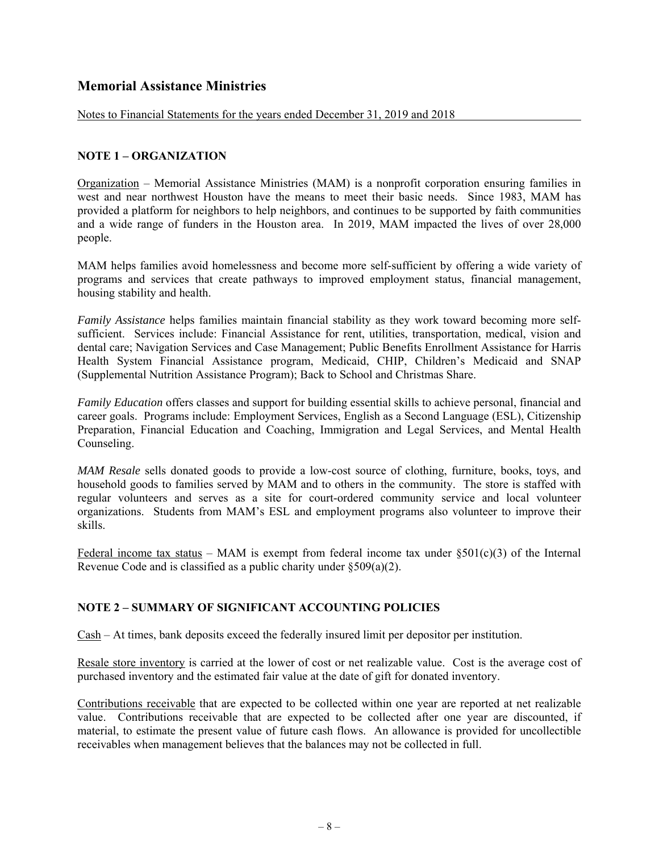Notes to Financial Statements for the years ended December 31, 2019 and 2018

#### **NOTE 1 – ORGANIZATION**

Organization – Memorial Assistance Ministries (MAM) is a nonprofit corporation ensuring families in west and near northwest Houston have the means to meet their basic needs. Since 1983, MAM has provided a platform for neighbors to help neighbors, and continues to be supported by faith communities and a wide range of funders in the Houston area. In 2019, MAM impacted the lives of over 28,000 people.

MAM helps families avoid homelessness and become more self-sufficient by offering a wide variety of programs and services that create pathways to improved employment status, financial management, housing stability and health.

*Family Assistance* helps families maintain financial stability as they work toward becoming more selfsufficient. Services include: Financial Assistance for rent, utilities, transportation, medical, vision and dental care; Navigation Services and Case Management; Public Benefits Enrollment Assistance for Harris Health System Financial Assistance program, Medicaid, CHIP, Children's Medicaid and SNAP (Supplemental Nutrition Assistance Program); Back to School and Christmas Share.

*Family Education* offers classes and support for building essential skills to achieve personal, financial and career goals. Programs include: Employment Services, English as a Second Language (ESL), Citizenship Preparation, Financial Education and Coaching, Immigration and Legal Services, and Mental Health Counseling.

*MAM Resale* sells donated goods to provide a low-cost source of clothing, furniture, books, toys, and household goods to families served by MAM and to others in the community. The store is staffed with regular volunteers and serves as a site for court-ordered community service and local volunteer organizations. Students from MAM's ESL and employment programs also volunteer to improve their skills.

Federal income tax status – MAM is exempt from federal income tax under  $\S501(c)(3)$  of the Internal Revenue Code and is classified as a public charity under §509(a)(2).

#### **NOTE 2 – SUMMARY OF SIGNIFICANT ACCOUNTING POLICIES**

Cash – At times, bank deposits exceed the federally insured limit per depositor per institution.

Resale store inventory is carried at the lower of cost or net realizable value. Cost is the average cost of purchased inventory and the estimated fair value at the date of gift for donated inventory.

Contributions receivable that are expected to be collected within one year are reported at net realizable value. Contributions receivable that are expected to be collected after one year are discounted, if material, to estimate the present value of future cash flows. An allowance is provided for uncollectible receivables when management believes that the balances may not be collected in full.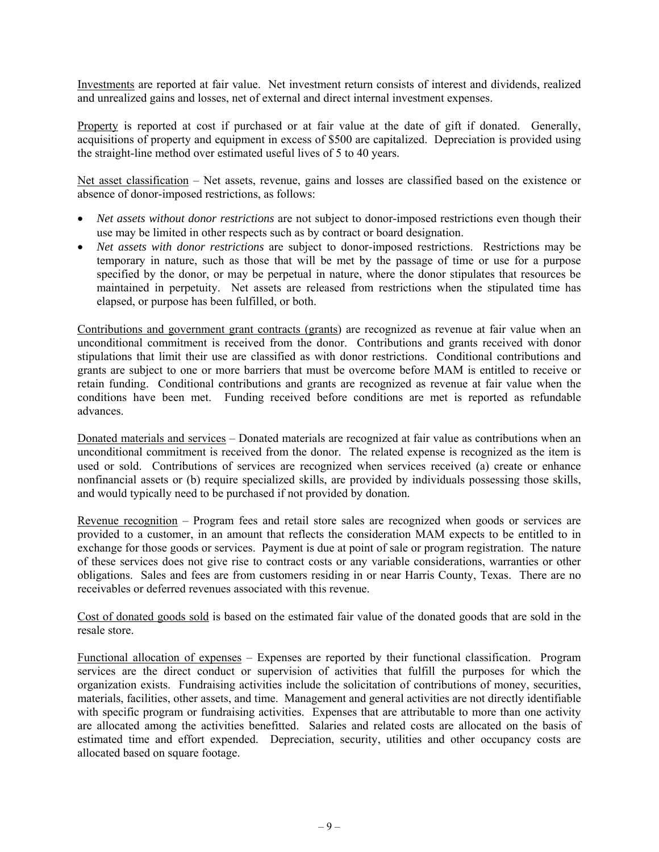Investments are reported at fair value. Net investment return consists of interest and dividends, realized and unrealized gains and losses, net of external and direct internal investment expenses.

Property is reported at cost if purchased or at fair value at the date of gift if donated. Generally, acquisitions of property and equipment in excess of \$500 are capitalized. Depreciation is provided using the straight-line method over estimated useful lives of 5 to 40 years.

Net asset classification – Net assets, revenue, gains and losses are classified based on the existence or absence of donor-imposed restrictions, as follows:

- *Net assets without donor restrictions* are not subject to donor-imposed restrictions even though their use may be limited in other respects such as by contract or board designation.
- *Net assets with donor restrictions* are subject to donor-imposed restrictions. Restrictions may be temporary in nature, such as those that will be met by the passage of time or use for a purpose specified by the donor, or may be perpetual in nature, where the donor stipulates that resources be maintained in perpetuity. Net assets are released from restrictions when the stipulated time has elapsed, or purpose has been fulfilled, or both.

Contributions and government grant contracts (grants) are recognized as revenue at fair value when an unconditional commitment is received from the donor. Contributions and grants received with donor stipulations that limit their use are classified as with donor restrictions. Conditional contributions and grants are subject to one or more barriers that must be overcome before MAM is entitled to receive or retain funding. Conditional contributions and grants are recognized as revenue at fair value when the conditions have been met. Funding received before conditions are met is reported as refundable advances.

Donated materials and services – Donated materials are recognized at fair value as contributions when an unconditional commitment is received from the donor. The related expense is recognized as the item is used or sold. Contributions of services are recognized when services received (a) create or enhance nonfinancial assets or (b) require specialized skills, are provided by individuals possessing those skills, and would typically need to be purchased if not provided by donation.

Revenue recognition – Program fees and retail store sales are recognized when goods or services are provided to a customer, in an amount that reflects the consideration MAM expects to be entitled to in exchange for those goods or services. Payment is due at point of sale or program registration. The nature of these services does not give rise to contract costs or any variable considerations, warranties or other obligations. Sales and fees are from customers residing in or near Harris County, Texas. There are no receivables or deferred revenues associated with this revenue.

Cost of donated goods sold is based on the estimated fair value of the donated goods that are sold in the resale store.

Functional allocation of expenses – Expenses are reported by their functional classification. Program services are the direct conduct or supervision of activities that fulfill the purposes for which the organization exists. Fundraising activities include the solicitation of contributions of money, securities, materials, facilities, other assets, and time. Management and general activities are not directly identifiable with specific program or fundraising activities. Expenses that are attributable to more than one activity are allocated among the activities benefitted. Salaries and related costs are allocated on the basis of estimated time and effort expended. Depreciation, security, utilities and other occupancy costs are allocated based on square footage.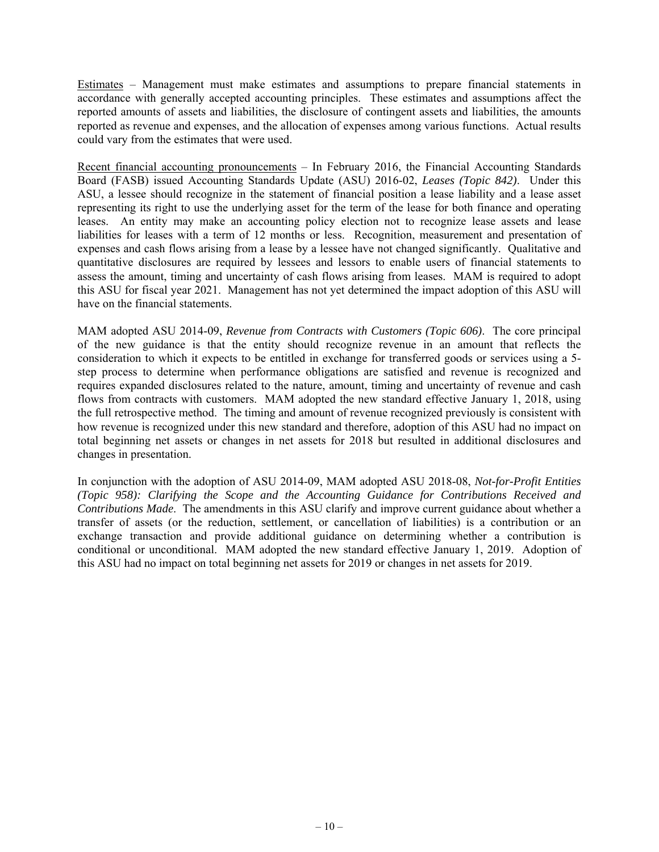Estimates – Management must make estimates and assumptions to prepare financial statements in accordance with generally accepted accounting principles. These estimates and assumptions affect the reported amounts of assets and liabilities, the disclosure of contingent assets and liabilities, the amounts reported as revenue and expenses, and the allocation of expenses among various functions. Actual results could vary from the estimates that were used.

Recent financial accounting pronouncements – In February 2016, the Financial Accounting Standards Board (FASB) issued Accounting Standards Update (ASU) 2016-02, *Leases (Topic 842)*. Under this ASU, a lessee should recognize in the statement of financial position a lease liability and a lease asset representing its right to use the underlying asset for the term of the lease for both finance and operating leases. An entity may make an accounting policy election not to recognize lease assets and lease liabilities for leases with a term of 12 months or less. Recognition, measurement and presentation of expenses and cash flows arising from a lease by a lessee have not changed significantly. Qualitative and quantitative disclosures are required by lessees and lessors to enable users of financial statements to assess the amount, timing and uncertainty of cash flows arising from leases. MAM is required to adopt this ASU for fiscal year 2021. Management has not yet determined the impact adoption of this ASU will have on the financial statements.

MAM adopted ASU 2014-09, *Revenue from Contracts with Customers (Topic 606)*. The core principal of the new guidance is that the entity should recognize revenue in an amount that reflects the consideration to which it expects to be entitled in exchange for transferred goods or services using a 5 step process to determine when performance obligations are satisfied and revenue is recognized and requires expanded disclosures related to the nature, amount, timing and uncertainty of revenue and cash flows from contracts with customers. MAM adopted the new standard effective January 1, 2018, using the full retrospective method. The timing and amount of revenue recognized previously is consistent with how revenue is recognized under this new standard and therefore, adoption of this ASU had no impact on total beginning net assets or changes in net assets for 2018 but resulted in additional disclosures and changes in presentation.

In conjunction with the adoption of ASU 2014-09, MAM adopted ASU 2018-08, *Not-for-Profit Entities (Topic 958): Clarifying the Scope and the Accounting Guidance for Contributions Received and Contributions Made*. The amendments in this ASU clarify and improve current guidance about whether a transfer of assets (or the reduction, settlement, or cancellation of liabilities) is a contribution or an exchange transaction and provide additional guidance on determining whether a contribution is conditional or unconditional. MAM adopted the new standard effective January 1, 2019. Adoption of this ASU had no impact on total beginning net assets for 2019 or changes in net assets for 2019.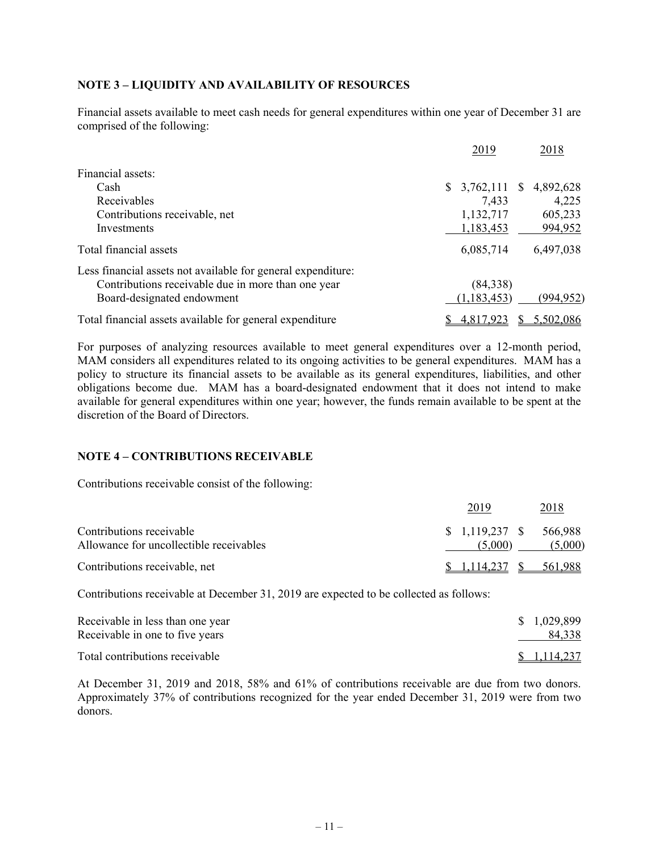#### **NOTE 3 – LIQUIDITY AND AVAILABILITY OF RESOURCES**

Financial assets available to meet cash needs for general expenditures within one year of December 31 are comprised of the following:

|                                                              | 2019             | 2018                      |
|--------------------------------------------------------------|------------------|---------------------------|
| Financial assets:                                            |                  |                           |
| Cash                                                         | \$.<br>3,762,111 | 4,892,628<br><sup>S</sup> |
| Receivables                                                  | 7,433            | 4,225                     |
| Contributions receivable, net                                | 1,132,717        | 605,233                   |
| Investments                                                  | 1,183,453        | 994,952                   |
| Total financial assets                                       | 6,085,714        | 6,497,038                 |
| Less financial assets not available for general expenditure: |                  |                           |
| Contributions receivable due in more than one year           | (84,338)         |                           |
| Board-designated endowment                                   | (1, 183, 453)    | (994, 952)                |
| Total financial assets available for general expenditure     | 4,817,923        | 5,502,086                 |

For purposes of analyzing resources available to meet general expenditures over a 12-month period, MAM considers all expenditures related to its ongoing activities to be general expenditures. MAM has a policy to structure its financial assets to be available as its general expenditures, liabilities, and other obligations become due. MAM has a board-designated endowment that it does not intend to make available for general expenditures within one year; however, the funds remain available to be spent at the discretion of the Board of Directors.

#### **NOTE 4 – CONTRIBUTIONS RECEIVABLE**

Contributions receivable consist of the following:

|                                         | 2019                    | 2018    |
|-----------------------------------------|-------------------------|---------|
| Contributions receivable                | $$1,119,237$ $$566,988$ |         |
| Allowance for uncollectible receivables | (5,000)                 | (5,000) |
| Contributions receivable, net           | 1.114.237               | 561.988 |

Contributions receivable at December 31, 2019 are expected to be collected as follows:

| Receivable in less than one year | \$ 1,029,899 |
|----------------------------------|--------------|
| Receivable in one to five years  | 84,338       |
| Total contributions receivable   | \$1,114,237  |

At December 31, 2019 and 2018, 58% and 61% of contributions receivable are due from two donors. Approximately 37% of contributions recognized for the year ended December 31, 2019 were from two donors.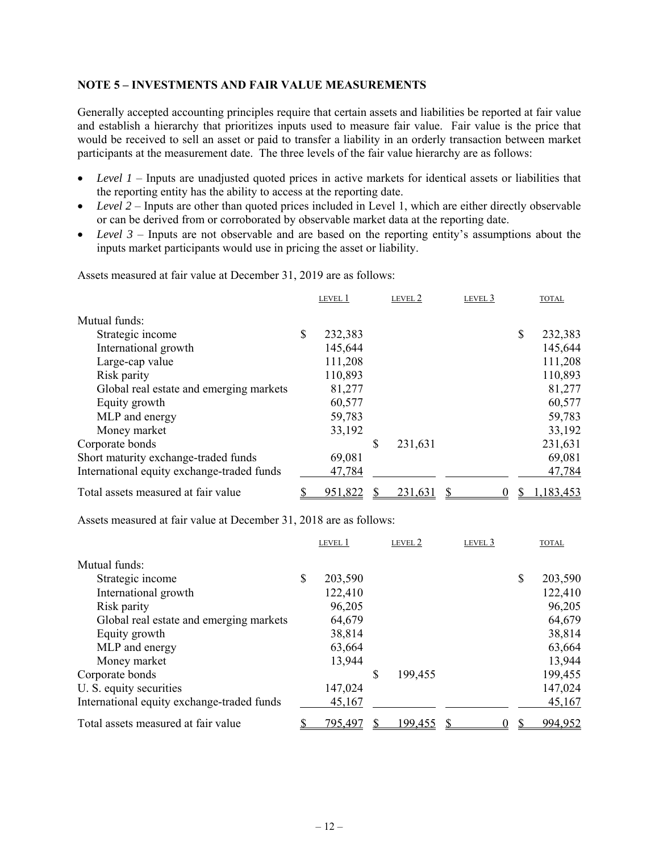#### **NOTE 5 – INVESTMENTS AND FAIR VALUE MEASUREMENTS**

Generally accepted accounting principles require that certain assets and liabilities be reported at fair value and establish a hierarchy that prioritizes inputs used to measure fair value. Fair value is the price that would be received to sell an asset or paid to transfer a liability in an orderly transaction between market participants at the measurement date. The three levels of the fair value hierarchy are as follows:

- Level 1 Inputs are unadjusted quoted prices in active markets for identical assets or liabilities that the reporting entity has the ability to access at the reporting date.
- Level 2 Inputs are other than quoted prices included in Level 1, which are either directly observable or can be derived from or corroborated by observable market data at the reporting date.
- *Level 3* Inputs are not observable and are based on the reporting entity's assumptions about the inputs market participants would use in pricing the asset or liability.

|                                            | LEVEL 1       | LEVEL 2       | LEVEL 3 | <b>TOTAL</b>  |
|--------------------------------------------|---------------|---------------|---------|---------------|
| Mutual funds:                              |               |               |         |               |
| Strategic income                           | \$<br>232,383 |               |         | \$<br>232,383 |
| International growth                       | 145,644       |               |         | 145,644       |
| Large-cap value                            | 111,208       |               |         | 111,208       |
| Risk parity                                | 110,893       |               |         | 110,893       |
| Global real estate and emerging markets    | 81,277        |               |         | 81,277        |
| Equity growth                              | 60,577        |               |         | 60,577        |
| MLP and energy                             | 59,783        |               |         | 59,783        |
| Money market                               | 33,192        |               |         | 33,192        |
| Corporate bonds                            |               | \$<br>231,631 |         | 231,631       |
| Short maturity exchange-traded funds       | 69,081        |               |         | 69,081        |
| International equity exchange-traded funds | 47,784        |               |         | 47,784        |
| Total assets measured at fair value        | 951,822       | 231,631       |         | 1,183,453     |

Assets measured at fair value at December 31, 2019 are as follows:

Assets measured at fair value at December 31, 2018 are as follows:

|                                            | LEVEL 1       |   | LEVEL 2 | LEVEL 3 | <b>TOTAL</b>  |
|--------------------------------------------|---------------|---|---------|---------|---------------|
| Mutual funds:                              |               |   |         |         |               |
| Strategic income                           | \$<br>203,590 |   |         |         | \$<br>203,590 |
| International growth                       | 122,410       |   |         |         | 122,410       |
| Risk parity                                | 96,205        |   |         |         | 96,205        |
| Global real estate and emerging markets    | 64,679        |   |         |         | 64,679        |
| Equity growth                              | 38,814        |   |         |         | 38,814        |
| MLP and energy                             | 63,664        |   |         |         | 63,664        |
| Money market                               | 13,944        |   |         |         | 13,944        |
| Corporate bonds                            |               | S | 199,455 |         | 199,455       |
| U. S. equity securities                    | 147,024       |   |         |         | 147,024       |
| International equity exchange-traded funds | 45,167        |   |         |         | 45,167        |
| Total assets measured at fair value        | 795,497       |   | 199,455 |         | 994,952       |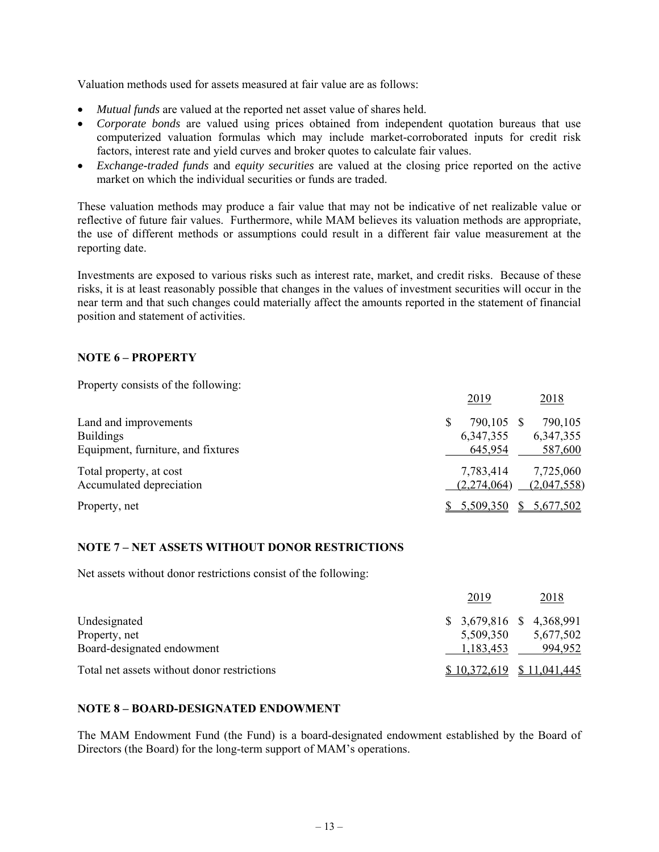Valuation methods used for assets measured at fair value are as follows:

- *Mutual funds* are valued at the reported net asset value of shares held.
- *Corporate bonds* are valued using prices obtained from independent quotation bureaus that use computerized valuation formulas which may include market-corroborated inputs for credit risk factors, interest rate and yield curves and broker quotes to calculate fair values.
- *Exchange-traded funds* and *equity securities* are valued at the closing price reported on the active market on which the individual securities or funds are traded.

These valuation methods may produce a fair value that may not be indicative of net realizable value or reflective of future fair values. Furthermore, while MAM believes its valuation methods are appropriate, the use of different methods or assumptions could result in a different fair value measurement at the reporting date.

Investments are exposed to various risks such as interest rate, market, and credit risks. Because of these risks, it is at least reasonably possible that changes in the values of investment securities will occur in the near term and that such changes could materially affect the amounts reported in the statement of financial position and statement of activities.

### **NOTE 6 – PROPERTY**

Property consists of the following:

|                                    | 2019             | 2018        |
|------------------------------------|------------------|-------------|
| Land and improvements              | \$<br>790,105 \$ | 790,105     |
| <b>Buildings</b>                   | 6,347,355        | 6,347,355   |
| Equipment, furniture, and fixtures | 645,954          | 587,600     |
| Total property, at cost            | 7,783,414        | 7,725,060   |
| Accumulated depreciation           | (2,274,064)      | (2,047,558) |
| Property, net                      | 5,509,350        | 5,677,502   |

#### **NOTE 7 – NET ASSETS WITHOUT DONOR RESTRICTIONS**

Net assets without donor restrictions consist of the following:

|                                             | 2019                        | 2018      |
|---------------------------------------------|-----------------------------|-----------|
| Undesignated                                | $$3,679,816$ $$4,368,991$   |           |
| Property, net                               | 5,509,350                   | 5,677,502 |
| Board-designated endowment                  | 1,183,453                   | 994,952   |
| Total net assets without donor restrictions | $$10,372,619$ $$11,041,445$ |           |

#### **NOTE 8 – BOARD-DESIGNATED ENDOWMENT**

The MAM Endowment Fund (the Fund) is a board-designated endowment established by the Board of Directors (the Board) for the long-term support of MAM's operations.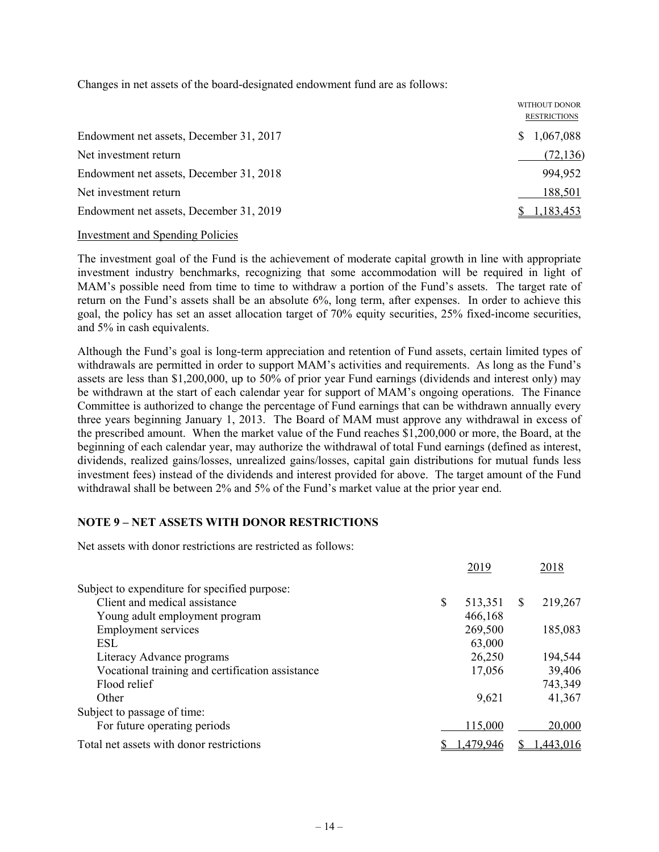Changes in net assets of the board-designated endowment fund are as follows:

|                                         | WITHOUT DONOR<br><b>RESTRICTIONS</b> |           |
|-----------------------------------------|--------------------------------------|-----------|
| Endowment net assets, December 31, 2017 | S.                                   | 1,067,088 |
|                                         |                                      |           |
| Net investment return                   |                                      | (72, 136) |
| Endowment net assets, December 31, 2018 |                                      | 994,952   |
| Net investment return                   |                                      | 188,501   |
| Endowment net assets, December 31, 2019 |                                      | 1,183,453 |

#### Investment and Spending Policies

The investment goal of the Fund is the achievement of moderate capital growth in line with appropriate investment industry benchmarks, recognizing that some accommodation will be required in light of MAM's possible need from time to time to withdraw a portion of the Fund's assets. The target rate of return on the Fund's assets shall be an absolute 6%, long term, after expenses. In order to achieve this goal, the policy has set an asset allocation target of 70% equity securities, 25% fixed-income securities, and 5% in cash equivalents.

Although the Fund's goal is long-term appreciation and retention of Fund assets, certain limited types of withdrawals are permitted in order to support MAM's activities and requirements. As long as the Fund's assets are less than \$1,200,000, up to 50% of prior year Fund earnings (dividends and interest only) may be withdrawn at the start of each calendar year for support of MAM's ongoing operations. The Finance Committee is authorized to change the percentage of Fund earnings that can be withdrawn annually every three years beginning January 1, 2013. The Board of MAM must approve any withdrawal in excess of the prescribed amount. When the market value of the Fund reaches \$1,200,000 or more, the Board, at the beginning of each calendar year, may authorize the withdrawal of total Fund earnings (defined as interest, dividends, realized gains/losses, unrealized gains/losses, capital gain distributions for mutual funds less investment fees) instead of the dividends and interest provided for above. The target amount of the Fund withdrawal shall be between 2% and 5% of the Fund's market value at the prior year end.

#### **NOTE 9 – NET ASSETS WITH DONOR RESTRICTIONS**

Net assets with donor restrictions are restricted as follows:

|                                                  | 2019          |              | 2018      |
|--------------------------------------------------|---------------|--------------|-----------|
| Subject to expenditure for specified purpose:    |               |              |           |
| Client and medical assistance                    | \$<br>513,351 | <sup>S</sup> | 219,267   |
| Young adult employment program                   | 466,168       |              |           |
| <b>Employment services</b>                       | 269,500       |              | 185,083   |
| <b>ESL</b>                                       | 63,000        |              |           |
| Literacy Advance programs                        | 26,250        |              | 194,544   |
| Vocational training and certification assistance | 17,056        |              | 39,406    |
| Flood relief                                     |               |              | 743,349   |
| Other                                            | 9,621         |              | 41,367    |
| Subject to passage of time:                      |               |              |           |
| For future operating periods                     | 115,000       |              | 20,000    |
| Total net assets with donor restrictions         | .479,946      |              | 1,443,016 |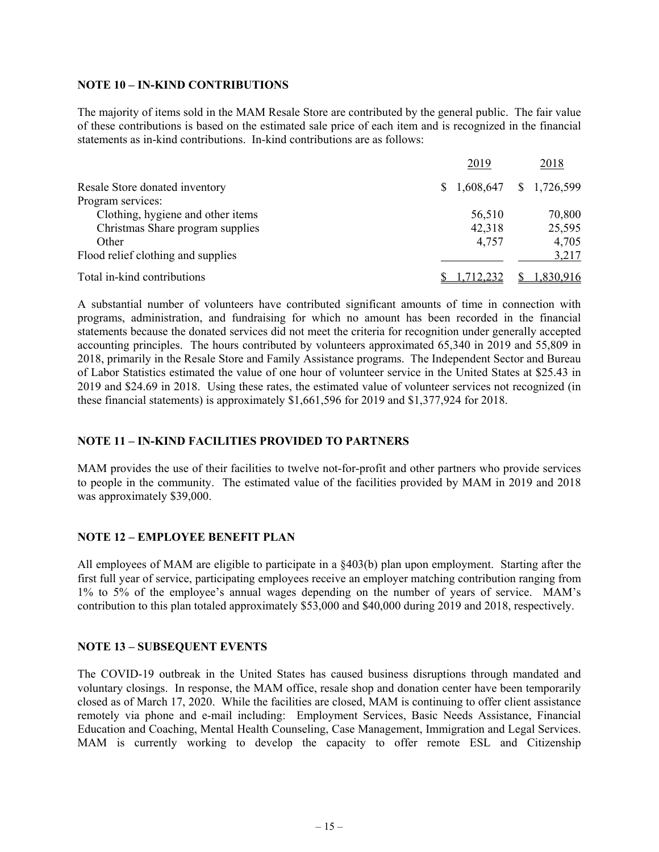#### **NOTE 10 – IN-KIND CONTRIBUTIONS**

The majority of items sold in the MAM Resale Store are contributed by the general public. The fair value of these contributions is based on the estimated sale price of each item and is recognized in the financial statements as in-kind contributions. In-kind contributions are as follows:

|                                    | 2019      | 2018                      |
|------------------------------------|-----------|---------------------------|
| Resale Store donated inventory     |           | $$1,608,647$ $$1,726,599$ |
| Program services:                  |           |                           |
| Clothing, hygiene and other items  | 56,510    | 70,800                    |
| Christmas Share program supplies   | 42,318    | 25,595                    |
| Other                              | 4,757     | 4,705                     |
| Flood relief clothing and supplies |           | 3,217                     |
| Total in-kind contributions        | 1,712,232 | 1,830,916                 |

A substantial number of volunteers have contributed significant amounts of time in connection with programs, administration, and fundraising for which no amount has been recorded in the financial statements because the donated services did not meet the criteria for recognition under generally accepted accounting principles. The hours contributed by volunteers approximated 65,340 in 2019 and 55,809 in 2018, primarily in the Resale Store and Family Assistance programs. The Independent Sector and Bureau of Labor Statistics estimated the value of one hour of volunteer service in the United States at \$25.43 in 2019 and \$24.69 in 2018. Using these rates, the estimated value of volunteer services not recognized (in these financial statements) is approximately \$1,661,596 for 2019 and \$1,377,924 for 2018.

### **NOTE 11 – IN-KIND FACILITIES PROVIDED TO PARTNERS**

MAM provides the use of their facilities to twelve not-for-profit and other partners who provide services to people in the community. The estimated value of the facilities provided by MAM in 2019 and 2018 was approximately \$39,000.

#### **NOTE 12 – EMPLOYEE BENEFIT PLAN**

All employees of MAM are eligible to participate in a §403(b) plan upon employment. Starting after the first full year of service, participating employees receive an employer matching contribution ranging from 1% to 5% of the employee's annual wages depending on the number of years of service. MAM's contribution to this plan totaled approximately \$53,000 and \$40,000 during 2019 and 2018, respectively.

#### **NOTE 13 – SUBSEQUENT EVENTS**

The COVID-19 outbreak in the United States has caused business disruptions through mandated and voluntary closings. In response, the MAM office, resale shop and donation center have been temporarily closed as of March 17, 2020. While the facilities are closed, MAM is continuing to offer client assistance remotely via phone and e-mail including: Employment Services, Basic Needs Assistance, Financial Education and Coaching, Mental Health Counseling, Case Management, Immigration and Legal Services. MAM is currently working to develop the capacity to offer remote ESL and Citizenship